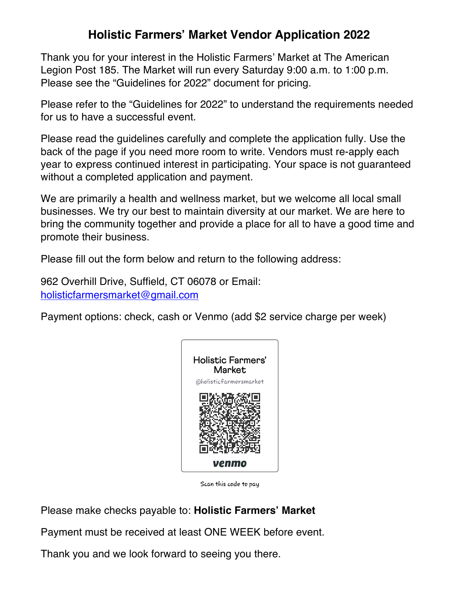## **Holistic Farmers' Market Vendor Application 2022**

Thank you for your interest in the Holistic Farmers' Market at The American Legion Post 185. The Market will run every Saturday 9:00 a.m. to 1:00 p.m. Please see the "Guidelines for 2022" document for pricing.

Please refer to the "Guidelines for 2022" to understand the requirements needed for us to have a successful event.

Please read the guidelines carefully and complete the application fully. Use the back of the page if you need more room to write. Vendors must re-apply each year to express continued interest in participating. Your space is not guaranteed without a completed application and payment.

We are primarily a health and wellness market, but we welcome all local small businesses. We try our best to maintain diversity at our market. We are here to bring the community together and provide a place for all to have a good time and promote their business.

Please fill out the form below and return to the following address:

962 Overhill Drive, Suffield, CT 06078 or Email: holisticfarmersmarket@gmail.com

Payment options: check, cash or Venmo (add \$2 service charge per week)



Scan this code to pay

Please make checks payable to: **Holistic Farmers' Market**

Payment must be received at least ONE WEEK before event.

Thank you and we look forward to seeing you there.